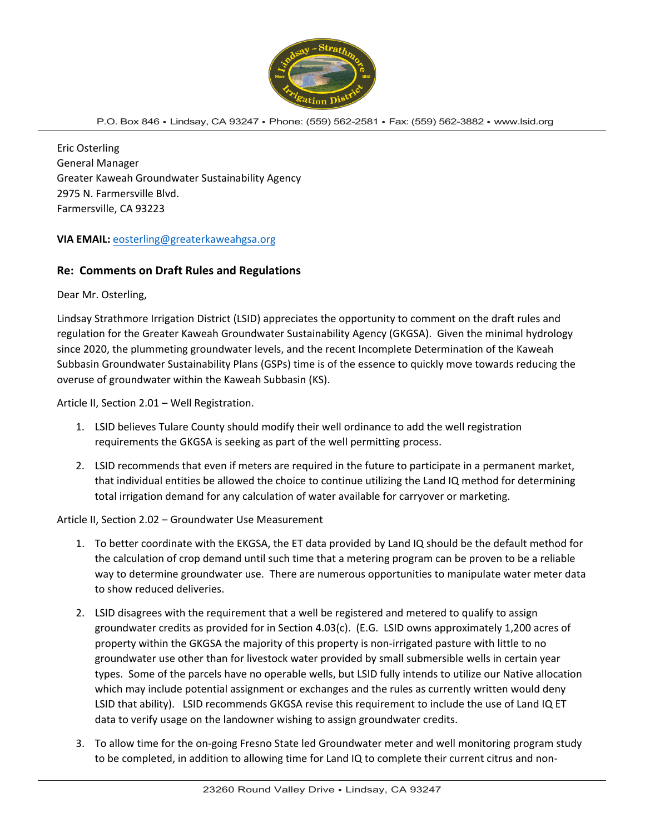

#### P.O. Box 846 • Lindsay, CA 93247 • Phone: (559) 562-2581 • Fax: (559) 562-3882 • [www.lsid.org](http://www.lsid.org/)

Eric Osterling General Manager Greater Kaweah Groundwater Sustainability Agency 2975 N. Farmersville Blvd. Farmersville, CA 93223

## **VIA EMAIL:** eosterling[@greaterkaweahg](mailto:gsp@greaterkaweahgsa.org)sa.org

### **Re: Comments on Draft Rules and Regulations**

Dear Mr. Osterling,

Lindsay Strathmore Irrigation District (LSID) appreciates the opportunity to comment on the draft rules and regulation for the Greater Kaweah Groundwater Sustainability Agency (GKGSA). Given the minimal hydrology since 2020, the plummeting groundwater levels, and the recent Incomplete Determination of the Kaweah Subbasin Groundwater Sustainability Plans (GSPs) time is of the essence to quickly move towards reducing the overuse of groundwater within the Kaweah Subbasin (KS).

Article II, Section 2.01 – Well Registration.

- 1. LSID believes Tulare County should modify their well ordinance to add the well registration requirements the GKGSA is seeking as part of the well permitting process.
- 2. LSID recommends that even if meters are required in the future to participate in a permanent market, that individual entities be allowed the choice to continue utilizing the Land IQ method for determining total irrigation demand for any calculation of water available for carryover or marketing.

Article II, Section 2.02 – Groundwater Use Measurement

- 1. To better coordinate with the EKGSA, the ET data provided by Land IQ should be the default method for the calculation of crop demand until such time that a metering program can be proven to be a reliable way to determine groundwater use. There are numerous opportunities to manipulate water meter data to show reduced deliveries.
- 2. LSID disagrees with the requirement that a well be registered and metered to qualify to assign groundwater credits as provided for in Section 4.03(c). (E.G. LSID owns approximately 1,200 acres of property within the GKGSA the majority of this property is non-irrigated pasture with little to no groundwater use other than for livestock water provided by small submersible wells in certain year types. Some of the parcels have no operable wells, but LSID fully intends to utilize our Native allocation which may include potential assignment or exchanges and the rules as currently written would deny LSID that ability). LSID recommends GKGSA revise this requirement to include the use of Land IQ ET data to verify usage on the landowner wishing to assign groundwater credits.
- 3. To allow time for the on-going Fresno State led Groundwater meter and well monitoring program study to be completed, in addition to allowing time for Land IQ to complete their current citrus and non-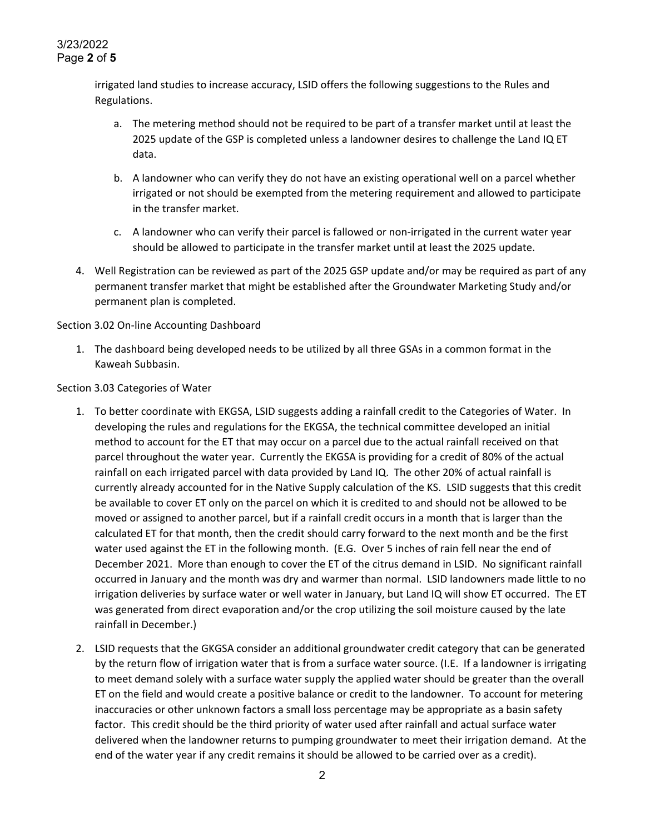irrigated land studies to increase accuracy, LSID offers the following suggestions to the Rules and Regulations.

- a. The metering method should not be required to be part of a transfer market until at least the 2025 update of the GSP is completed unless a landowner desires to challenge the Land IQ ET data.
- b. A landowner who can verify they do not have an existing operational well on a parcel whether irrigated or not should be exempted from the metering requirement and allowed to participate in the transfer market.
- c. A landowner who can verify their parcel is fallowed or non-irrigated in the current water year should be allowed to participate in the transfer market until at least the 2025 update.
- 4. Well Registration can be reviewed as part of the 2025 GSP update and/or may be required as part of any permanent transfer market that might be established after the Groundwater Marketing Study and/or permanent plan is completed.

Section 3.02 On-line Accounting Dashboard

1. The dashboard being developed needs to be utilized by all three GSAs in a common format in the Kaweah Subbasin.

Section 3.03 Categories of Water

- 1. To better coordinate with EKGSA, LSID suggests adding a rainfall credit to the Categories of Water. In developing the rules and regulations for the EKGSA, the technical committee developed an initial method to account for the ET that may occur on a parcel due to the actual rainfall received on that parcel throughout the water year. Currently the EKGSA is providing for a credit of 80% of the actual rainfall on each irrigated parcel with data provided by Land IQ. The other 20% of actual rainfall is currently already accounted for in the Native Supply calculation of the KS. LSID suggests that this credit be available to cover ET only on the parcel on which it is credited to and should not be allowed to be moved or assigned to another parcel, but if a rainfall credit occurs in a month that is larger than the calculated ET for that month, then the credit should carry forward to the next month and be the first water used against the ET in the following month. (E.G. Over 5 inches of rain fell near the end of December 2021. More than enough to cover the ET of the citrus demand in LSID. No significant rainfall occurred in January and the month was dry and warmer than normal. LSID landowners made little to no irrigation deliveries by surface water or well water in January, but Land IQ will show ET occurred. The ET was generated from direct evaporation and/or the crop utilizing the soil moisture caused by the late rainfall in December.)
- 2. LSID requests that the GKGSA consider an additional groundwater credit category that can be generated by the return flow of irrigation water that is from a surface water source. (I.E. If a landowner is irrigating to meet demand solely with a surface water supply the applied water should be greater than the overall ET on the field and would create a positive balance or credit to the landowner. To account for metering inaccuracies or other unknown factors a small loss percentage may be appropriate as a basin safety factor. This credit should be the third priority of water used after rainfall and actual surface water delivered when the landowner returns to pumping groundwater to meet their irrigation demand. At the end of the water year if any credit remains it should be allowed to be carried over as a credit).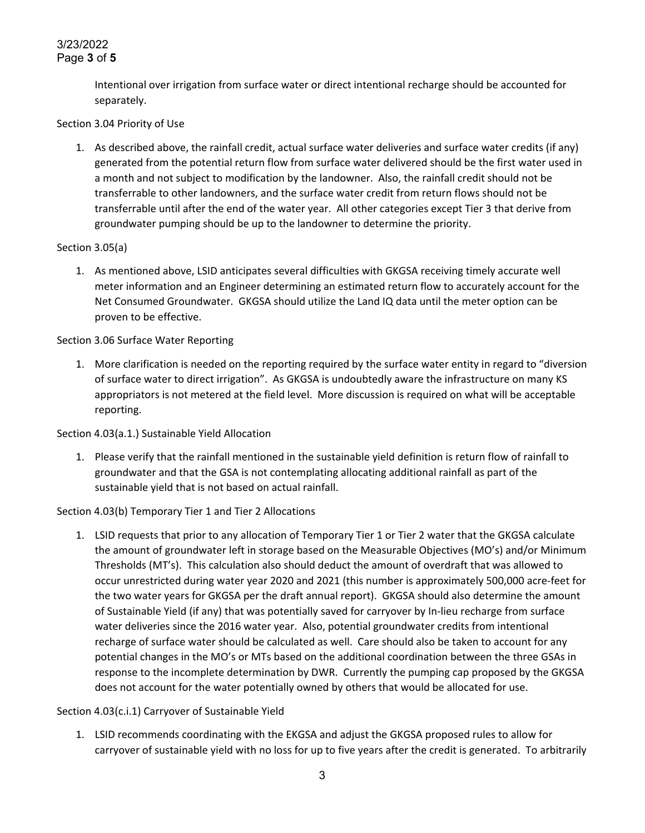# 3/23/2022 Page **3** of **5**

Intentional over irrigation from surface water or direct intentional recharge should be accounted for separately.

## Section 3.04 Priority of Use

1. As described above, the rainfall credit, actual surface water deliveries and surface water credits (if any) generated from the potential return flow from surface water delivered should be the first water used in a month and not subject to modification by the landowner. Also, the rainfall credit should not be transferrable to other landowners, and the surface water credit from return flows should not be transferrable until after the end of the water year. All other categories except Tier 3 that derive from groundwater pumping should be up to the landowner to determine the priority.

### Section 3.05(a)

1. As mentioned above, LSID anticipates several difficulties with GKGSA receiving timely accurate well meter information and an Engineer determining an estimated return flow to accurately account for the Net Consumed Groundwater. GKGSA should utilize the Land IQ data until the meter option can be proven to be effective.

## Section 3.06 Surface Water Reporting

1. More clarification is needed on the reporting required by the surface water entity in regard to "diversion of surface water to direct irrigation". As GKGSA is undoubtedly aware the infrastructure on many KS appropriators is not metered at the field level. More discussion is required on what will be acceptable reporting.

### Section 4.03(a.1.) Sustainable Yield Allocation

1. Please verify that the rainfall mentioned in the sustainable yield definition is return flow of rainfall to groundwater and that the GSA is not contemplating allocating additional rainfall as part of the sustainable yield that is not based on actual rainfall.

## Section 4.03(b) Temporary Tier 1 and Tier 2 Allocations

1. LSID requests that prior to any allocation of Temporary Tier 1 or Tier 2 water that the GKGSA calculate the amount of groundwater left in storage based on the Measurable Objectives (MO's) and/or Minimum Thresholds (MT's). This calculation also should deduct the amount of overdraft that was allowed to occur unrestricted during water year 2020 and 2021 (this number is approximately 500,000 acre-feet for the two water years for GKGSA per the draft annual report). GKGSA should also determine the amount of Sustainable Yield (if any) that was potentially saved for carryover by In-lieu recharge from surface water deliveries since the 2016 water year. Also, potential groundwater credits from intentional recharge of surface water should be calculated as well. Care should also be taken to account for any potential changes in the MO's or MTs based on the additional coordination between the three GSAs in response to the incomplete determination by DWR. Currently the pumping cap proposed by the GKGSA does not account for the water potentially owned by others that would be allocated for use.

## Section 4.03(c.i.1) Carryover of Sustainable Yield

1. LSID recommends coordinating with the EKGSA and adjust the GKGSA proposed rules to allow for carryover of sustainable yield with no loss for up to five years after the credit is generated. To arbitrarily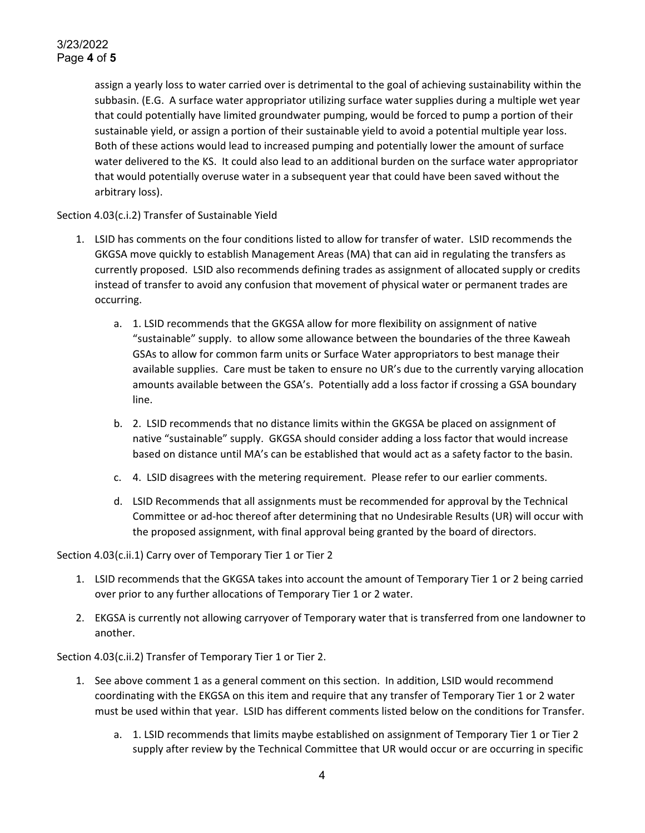# 3/23/2022 Page **4** of **5**

assign a yearly loss to water carried over is detrimental to the goal of achieving sustainability within the subbasin. (E.G. A surface water appropriator utilizing surface water supplies during a multiple wet year that could potentially have limited groundwater pumping, would be forced to pump a portion of their sustainable yield, or assign a portion of their sustainable yield to avoid a potential multiple year loss. Both of these actions would lead to increased pumping and potentially lower the amount of surface water delivered to the KS. It could also lead to an additional burden on the surface water appropriator that would potentially overuse water in a subsequent year that could have been saved without the arbitrary loss).

Section 4.03(c.i.2) Transfer of Sustainable Yield

- 1. LSID has comments on the four conditions listed to allow for transfer of water. LSID recommends the GKGSA move quickly to establish Management Areas (MA) that can aid in regulating the transfers as currently proposed. LSID also recommends defining trades as assignment of allocated supply or credits instead of transfer to avoid any confusion that movement of physical water or permanent trades are occurring.
	- a. 1. LSID recommends that the GKGSA allow for more flexibility on assignment of native "sustainable" supply. to allow some allowance between the boundaries of the three Kaweah GSAs to allow for common farm units or Surface Water appropriators to best manage their available supplies. Care must be taken to ensure no UR's due to the currently varying allocation amounts available between the GSA's. Potentially add a loss factor if crossing a GSA boundary line.
	- b. 2. LSID recommends that no distance limits within the GKGSA be placed on assignment of native "sustainable" supply. GKGSA should consider adding a loss factor that would increase based on distance until MA's can be established that would act as a safety factor to the basin.
	- c. 4. LSID disagrees with the metering requirement. Please refer to our earlier comments.
	- d. LSID Recommends that all assignments must be recommended for approval by the Technical Committee or ad-hoc thereof after determining that no Undesirable Results (UR) will occur with the proposed assignment, with final approval being granted by the board of directors.

Section 4.03(c.ii.1) Carry over of Temporary Tier 1 or Tier 2

- 1. LSID recommends that the GKGSA takes into account the amount of Temporary Tier 1 or 2 being carried over prior to any further allocations of Temporary Tier 1 or 2 water.
- 2. EKGSA is currently not allowing carryover of Temporary water that is transferred from one landowner to another.

Section 4.03(c.ii.2) Transfer of Temporary Tier 1 or Tier 2.

- 1. See above comment 1 as a general comment on this section. In addition, LSID would recommend coordinating with the EKGSA on this item and require that any transfer of Temporary Tier 1 or 2 water must be used within that year. LSID has different comments listed below on the conditions for Transfer.
	- a. 1. LSID recommends that limits maybe established on assignment of Temporary Tier 1 or Tier 2 supply after review by the Technical Committee that UR would occur or are occurring in specific